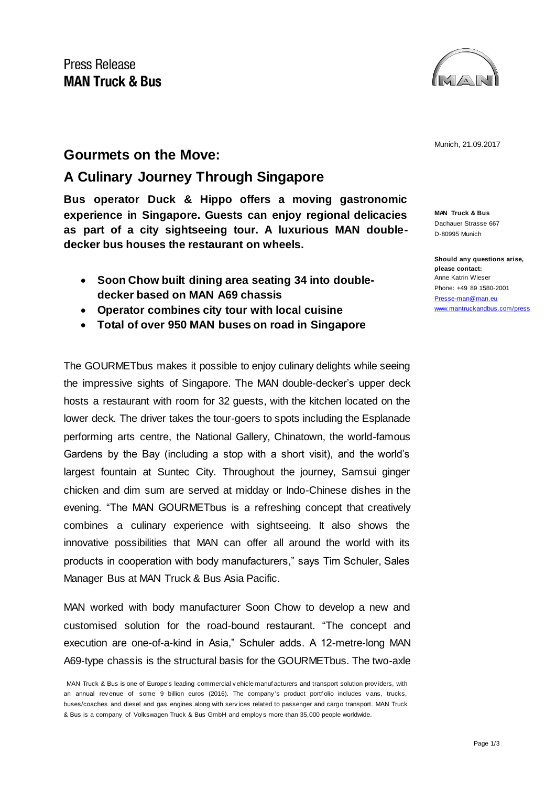

Munich, 21.09.2017

## **Gourmets on the Move:**

## **A Culinary Journey Through Singapore**

**Bus operator Duck & Hippo offers a moving gastronomic experience in Singapore. Guests can enjoy regional delicacies as part of a city sightseeing tour. A luxurious MAN doubledecker bus houses the restaurant on wheels.** 

- **Soon Chow built dining area seating 34 into doubledecker based on MAN A69 chassis**
- **Operator combines city tour with local cuisine**
- **Total of over 950 MAN buses on road in Singapore**

The GOURMETbus makes it possible to enjoy culinary delights while seeing the impressive sights of Singapore. The MAN double-decker's upper deck hosts a restaurant with room for 32 guests, with the kitchen located on the lower deck. The driver takes the tour-goers to spots including the Esplanade performing arts centre, the National Gallery, Chinatown, the world-famous Gardens by the Bay (including a stop with a short visit), and the world's largest fountain at Suntec City. Throughout the journey, Samsui ginger chicken and dim sum are served at midday or Indo-Chinese dishes in the evening. "The MAN GOURMETbus is a refreshing concept that creatively combines a culinary experience with sightseeing. It also shows the innovative possibilities that MAN can offer all around the world with its products in cooperation with body manufacturers," says Tim Schuler, Sales Manager Bus at MAN Truck & Bus Asia Pacific.

MAN worked with body manufacturer Soon Chow to develop a new and customised solution for the road-bound restaurant. "The concept and execution are one-of-a-kind in Asia," Schuler adds. A 12-metre-long MAN A69-type chassis is the structural basis for the GOURMETbus. The two-axle

**MAN Truck & Bus** Dachauer Strasse 667 D-80995 Munich

**Should any questions arise, please contact:** Anne Katrin Wieser Phone: +49 89 1580-2001 [Presse-man@man.eu](mailto:Presse-man@man.eu) [www.mantruckandbus.com/press](http://www.mantruckandbus.com/press)

MAN Truck & Bus is one of Europe's leading commercial v ehicle manuf acturers and transport solution prov iders, with an annual rev enue of some 9 billion euros (2016). The company 's product portf olio includes v ans, trucks, buses/coaches and diesel and gas engines along with serv ices related to passenger and cargo transport. MAN Truck & Bus is a company of Volkswagen Truck & Bus GmbH and employ s more than 35,000 people worldwide.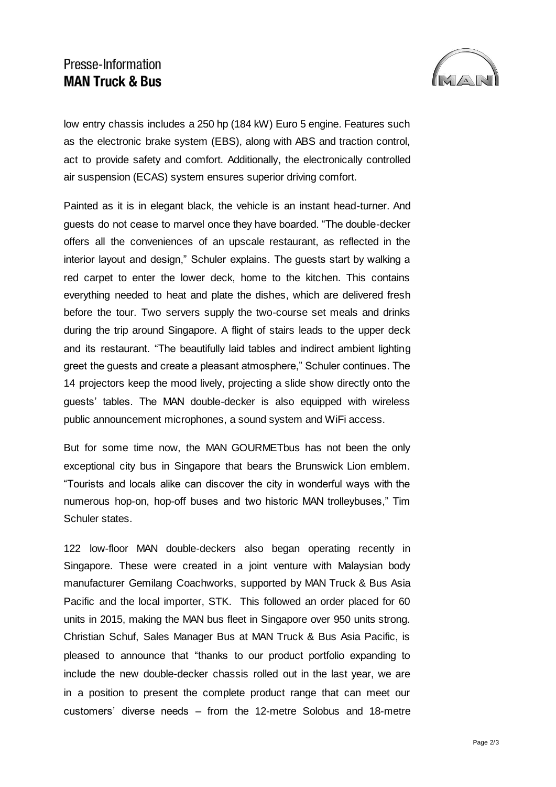## Presse-Information **MAN Truck & Bus**



low entry chassis includes a 250 hp (184 kW) Euro 5 engine. Features such as the electronic brake system (EBS), along with ABS and traction control, act to provide safety and comfort. Additionally, the electronically controlled air suspension (ECAS) system ensures superior driving comfort.

Painted as it is in elegant black, the vehicle is an instant head-turner. And guests do not cease to marvel once they have boarded. "The double-decker offers all the conveniences of an upscale restaurant, as reflected in the interior layout and design," Schuler explains. The guests start by walking a red carpet to enter the lower deck, home to the kitchen. This contains everything needed to heat and plate the dishes, which are delivered fresh before the tour. Two servers supply the two-course set meals and drinks during the trip around Singapore. A flight of stairs leads to the upper deck and its restaurant. "The beautifully laid tables and indirect ambient lighting greet the guests and create a pleasant atmosphere," Schuler continues. The 14 projectors keep the mood lively, projecting a slide show directly onto the guests' tables. The MAN double-decker is also equipped with wireless public announcement microphones, a sound system and WiFi access.

But for some time now, the MAN GOURMETbus has not been the only exceptional city bus in Singapore that bears the Brunswick Lion emblem. "Tourists and locals alike can discover the city in wonderful ways with the numerous hop-on, hop-off buses and two historic MAN trolleybuses," Tim Schuler states.

122 low-floor MAN double-deckers also began operating recently in Singapore. These were created in a joint venture with Malaysian body manufacturer Gemilang Coachworks, supported by MAN Truck & Bus Asia Pacific and the local importer, STK. This followed an order placed for 60 units in 2015, making the MAN bus fleet in Singapore over 950 units strong. Christian Schuf, Sales Manager Bus at MAN Truck & Bus Asia Pacific, is pleased to announce that "thanks to our product portfolio expanding to include the new double-decker chassis rolled out in the last year, we are in a position to present the complete product range that can meet our customers' diverse needs – from the 12-metre Solobus and 18-metre